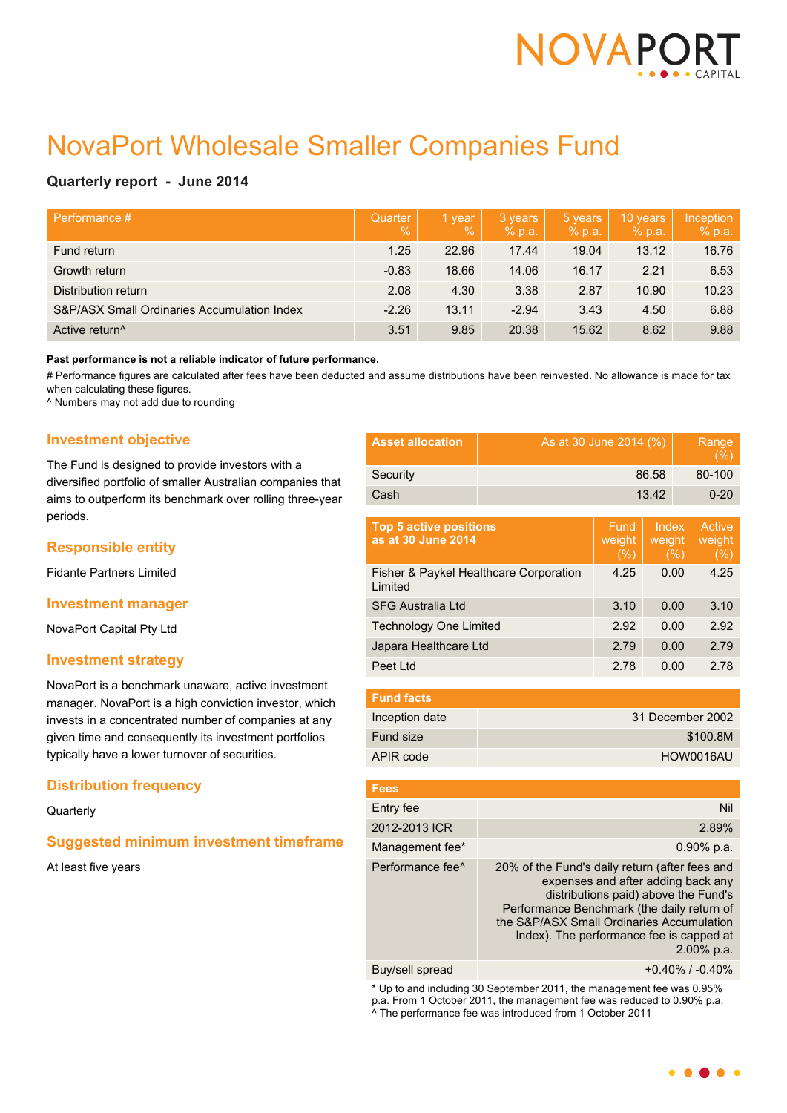

# NovaPort Wholesale Smaller Companies Fund

# **Quarterly report - June 2014**

| Performance #                               | Quarter<br>$\%$ | 1 year<br>$\%$ | 3 years<br>% p.a. | 5 years<br>% p.a. | 10 years<br>% p.a. | Inception<br>% p.a. |
|---------------------------------------------|-----------------|----------------|-------------------|-------------------|--------------------|---------------------|
| Fund return                                 | 1.25            | 22.96          | 17.44             | 19.04             | 13.12              | 16.76               |
| Growth return                               | $-0.83$         | 18.66          | 14.06             | 16.17             | 2.21               | 6.53                |
| Distribution return                         | 2.08            | 4.30           | 3.38              | 2.87              | 10.90              | 10.23               |
| S&P/ASX Small Ordinaries Accumulation Index | $-2.26$         | 13.11          | $-2.94$           | 3.43              | 4.50               | 6.88                |
| Active return <sup>^</sup>                  | 3.51            | 9.85           | 20.38             | 15.62             | 8.62               | 9.88                |

#### **Past performance is not a reliable indicator of future performance.**

# Performance figures are calculated after fees have been deducted and assume distributions have been reinvested. No allowance is made for tax when calculating these figures.

^ Numbers may not add due to rounding

# **Investment objective**

The Fund is designed to provide investors with a diversified portfolio of smaller Australian companies that aims to outperform its benchmark over rolling three-year periods.

## **Responsible entity**

Fidante Partners Limited

## **Investment manager**

NovaPort Capital Pty Ltd

## **Investment strategy**

NovaPort is a benchmark unaware, active investment manager. NovaPort is a high conviction investor, which invests in a concentrated number of companies at any given time and consequently its investment portfolios typically have a lower turnover of securities.

## **Distribution frequency**

#### **Quarterly**

## **Suggested minimum investment timeframe**

At least five years

| <b>Asset allocation</b> | As at 30 June 2014 (%) | Range<br>(%) |
|-------------------------|------------------------|--------------|
| Security                | 86.58                  | 80-100       |
| Cash                    | 13.42                  | $0 - 20$     |
|                         |                        |              |

| <b>Top 5 active positions</b><br>as at 30 June 2014 | Eund <sub>i</sub><br>weight<br>(%) | Index<br>weight<br>(%) | Active<br>weight<br>(%) |
|-----------------------------------------------------|------------------------------------|------------------------|-------------------------|
| Fisher & Paykel Healthcare Corporation<br>Limited   | 4.25                               | 0.00                   | 4.25                    |
| <b>SFG Australia Ltd</b>                            | 3.10                               | 0.00                   | 3.10                    |
| <b>Technology One Limited</b>                       | 2.92                               | 0.00                   | 2.92                    |
| Japara Healthcare Ltd                               | 2.79                               | 0.00                   | 2.79                    |
| Peet Ltd                                            | 2.78                               | 0.00                   | 2.78                    |

| <b>Fund facts</b> |                  |
|-------------------|------------------|
| Inception date    | 31 December 2002 |
| Fund size         | \$100.8M         |
| APIR code         | HOW0016AU        |

| Fees                         |                                                                                                                                                                                                                                                                                   |
|------------------------------|-----------------------------------------------------------------------------------------------------------------------------------------------------------------------------------------------------------------------------------------------------------------------------------|
| Entry fee                    | Nil                                                                                                                                                                                                                                                                               |
| 2012-2013 ICR                | 2.89%                                                                                                                                                                                                                                                                             |
| Management fee*              | $0.90\%$ p.a.                                                                                                                                                                                                                                                                     |
| Performance fee <sup>^</sup> | 20% of the Fund's daily return (after fees and<br>expenses and after adding back any<br>distributions paid) above the Fund's<br>Performance Benchmark (the daily return of<br>the S&P/ASX Small Ordinaries Accumulation<br>Index). The performance fee is capped at<br>2.00% p.a. |
| Buy/sell spread              | $+0.40\%$ / $-0.40\%$                                                                                                                                                                                                                                                             |

\* Up to and including 30 September 2011, the management fee was 0.95% p.a. From 1 October 2011, the management fee was reduced to 0.90% p.a. ^ The performance fee was introduced from 1 October 2011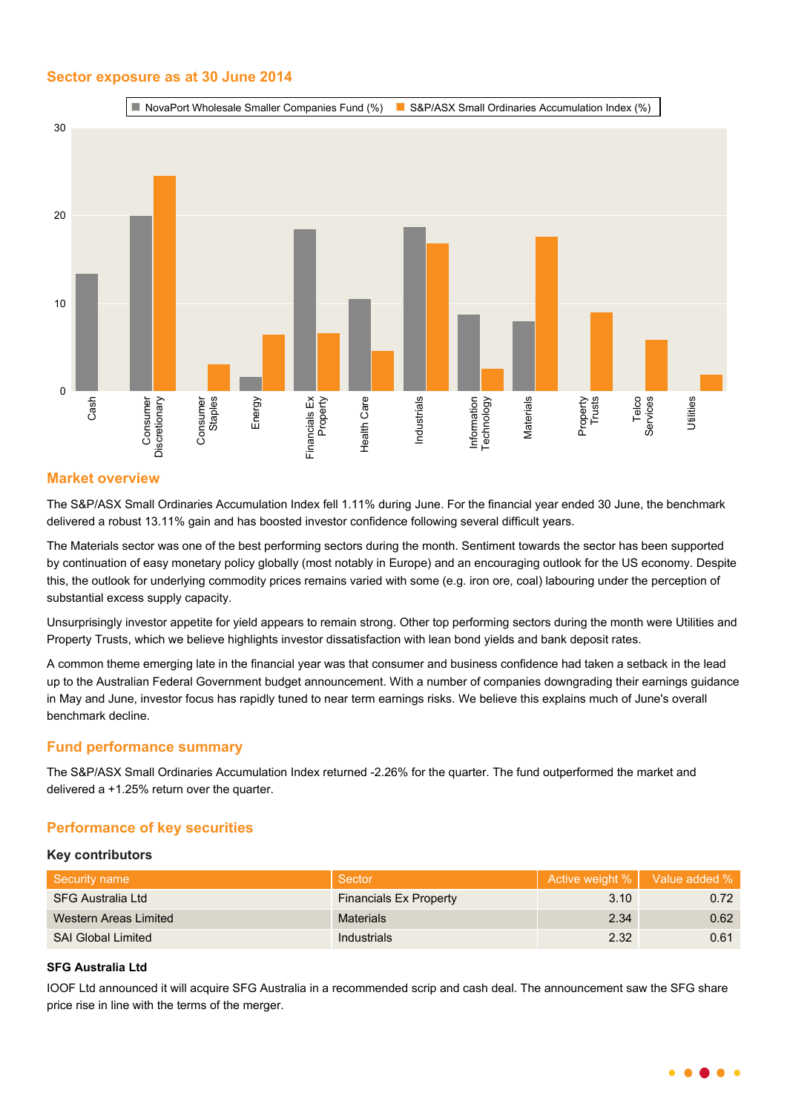## **Sector exposure as at 30 June 2014**



## **Market overview**

The S&P/ASX Small Ordinaries Accumulation Index fell 1.11% during June. For the financial year ended 30 June, the benchmark delivered a robust 13.11% gain and has boosted investor confidence following several difficult years.

The Materials sector was one of the best performing sectors during the month. Sentiment towards the sector has been supported by continuation of easy monetary policy globally (most notably in Europe) and an encouraging outlook for the US economy. Despite this, the outlook for underlying commodity prices remains varied with some (e.g. iron ore, coal) labouring under the perception of substantial excess supply capacity.

Unsurprisingly investor appetite for yield appears to remain strong. Other top performing sectors during the month were Utilities and Property Trusts, which we believe highlights investor dissatisfaction with lean bond yields and bank deposit rates.

A common theme emerging late in the financial year was that consumer and business confidence had taken a setback in the lead up to the Australian Federal Government budget announcement. With a number of companies downgrading their earnings guidance in May and June, investor focus has rapidly tuned to near term earnings risks. We believe this explains much of June's overall benchmark decline.

## **Fund performance summary**

The S&P/ASX Small Ordinaries Accumulation Index returned -2.26% for the quarter. The fund outperformed the market and delivered a +1.25% return over the quarter.

## **Performance of key securities**

#### **Key contributors**

| Security name             | Sector                        | Active weight %   Value added % |      |
|---------------------------|-------------------------------|---------------------------------|------|
| SFG Australia Ltd         | <b>Financials Ex Property</b> | 3.10                            | 0.72 |
| Western Areas Limited     | <b>Materials</b>              | 2.34                            | 0.62 |
| <b>SAI Global Limited</b> | Industrials                   | 2.32                            | 0.61 |

## **SFG Australia Ltd**

IOOF Ltd announced it will acquire SFG Australia in a recommended scrip and cash deal. The announcement saw the SFG share price rise in line with the terms of the merger.